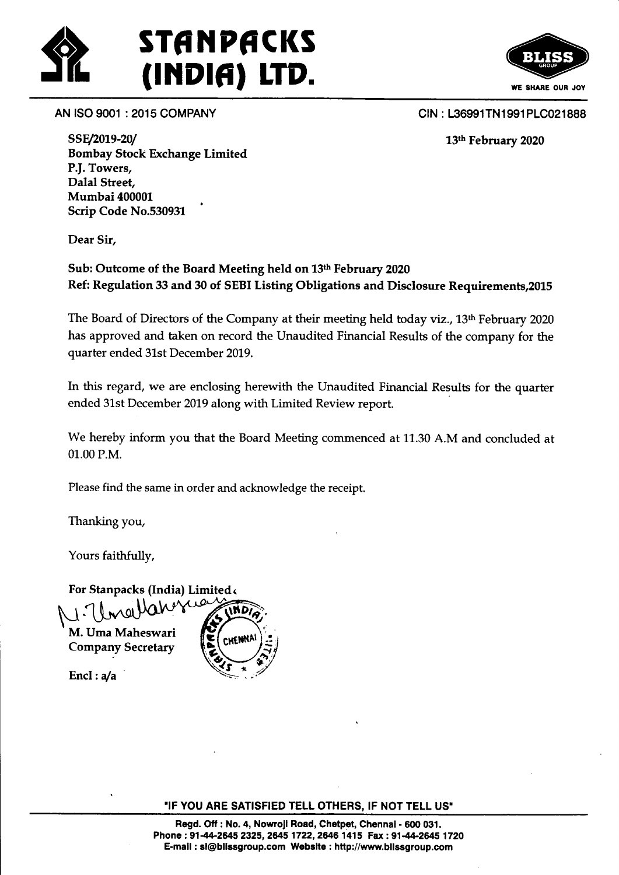



AN ISO 9001 : 2015 COMPANY

CIN: L36991TN1991PLC021888

13th February 2020

SSE/2019-20/ Bombay Stock Exchange Limited P.f. Towers, Dalal Street, Mumbai 40000L Scrip Code No.530931 '

Dear Sir,

Sub: Outcome of the Board Meeting held on 13th February 2020 Ref: Regulation 33 and 30 of SEBI Listing Obligations and Disclosure Requirements,20l5

The Board of Directors of the Company at their meeting held today viz., 13th February 2020 has approved and taken on record the Unaudited Financial Results of the company for the quarter ended 3Lst December 2019.

In this regard, we are enclosing herewith the Unaudited Financial Results for the quarter ended 31st December 2019 along with Limited Review report.

We hereby inform you that the Board Meeting commenced at 11.30 A.M and concluded at 01.00 P.M.

Please find the same in order and acknowledge the receipt.

Thanking you,

Yours faithfully,

For Stanpacks (India) Limited<

M. Uma Maheswari **Company Secretary** 

Encl:  $a/a$ 



"IF YOU ARE SATISFIED TELL OTHERS, IF NOT TELL US'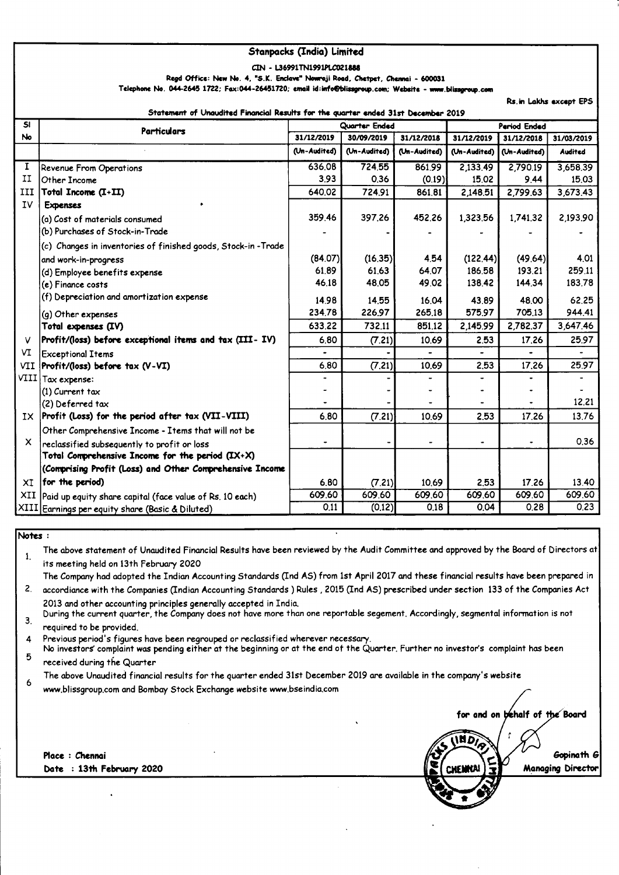#### **Stanpacks (India) Limited**

CIN - L36991TN1991PLC021888

Regd Office: New No. 4, "S.K. Enclave" Nowroji Road, Chetpet, Chennai - 600031

Telephone No. 044-2645 1722; Fax:044-26451720; email id:info@blissgroup.com; Website - www.blissgroup.com

Rs.in Lakhs except EPS

for and on behalf of the Board

Gopinath G

**Managing Director** 

**INDIS** 

ant af Llenditad Financial Damite fan the munter o

| SI  | <b>Particulars</b>                                           | Quarter Ended |              |              | Period Ended |              |                |
|-----|--------------------------------------------------------------|---------------|--------------|--------------|--------------|--------------|----------------|
| No  |                                                              | 31/12/2019    | 30/09/2019   | 31/12/2018   | 31/12/2019   | 31/12/2018   | 31/03/2019     |
|     |                                                              | (Un-Audited)  | (Un-Audited) | (Un-Audited) | (Un-Audited) | (Un-Audited) | <b>Audited</b> |
| 1   | Revenue From Operations                                      | 636,08        | 724,55       | 861.99       | 2,133.49     | 2,790.19     | 3,658.39       |
| II  | Other Income                                                 | 3.93          | 0.36         | (0.19)       | 15.02        | 9.44         | 15.03          |
| III | Total Income (I+II)                                          | 640.02        | 724.91       | 861.81       | 2,148.51     | 2,799.63     | 3,673.43       |
| IV  | <b>Expenses</b>                                              |               |              |              |              |              |                |
|     | (a) Cost of materials consumed                               | 359.46        | 397.26       | 452.26       | 1,323.56     | 1,741.32     | 2,193.90       |
|     | (b) Purchases of Stock-in-Trade                              |               |              |              |              |              |                |
|     | (c) Changes in inventories of finished goods, Stock-in-Trade |               |              |              |              |              |                |
|     | and work-in-progress                                         | (84.07)       | (16.35)      | 4.54         | (122.44)     | (49.64)      | 4.01           |
|     | (d) Employee benefits expense                                | 61.89         | 61.63        | 64,07        | 186,58       | 193.21       | 259.11         |
|     | (e) Finance costs                                            | 46.18         | 48,05        | 49.02        | 138.42       | 144,34       | 183.78         |
|     | (f) Depreciation and amortization expense                    | 14.98         | 14.55        | 16.04        | 43.89        | 48,00        | 62.25          |
|     | (g) Other expenses                                           | 234.78        | 226.97       | 265.18       | 575.97       | 705.13       | 944.41         |
|     | Total expenses (IV)                                          | 633.22        | 732.11       | 851,12       | 2,145.99     | 2,782.37     | 3,647.46       |
| v   | Profit/(loss) before exceptional items and tax (III- IV)     | 6,80          | (7.21)       | 10.69        | 2.53         | 17.26        | 25.97          |
| VI  | <b>Exceptional Items</b>                                     |               |              |              |              |              |                |
| VII | Profit/(loss) before tax (V-VI)                              | 6.80          | (7.21)       | 10.69        | 2,53         | 17,26        | 25.97          |
|     | VIII Tax expense:                                            |               |              |              |              |              |                |
|     | (1) Current tax                                              |               |              |              |              |              |                |
|     | (2) Deferred tax                                             |               |              |              |              |              | 12.21          |
|     | $IX$ Profit (Loss) for the period after tax (VII-VIII)       | 6,80          | (7.21)       | 10.69        | 2.53         | 17.26        | 13.76          |
|     | Other Comprehensive Income - Items that will not be          |               |              |              |              |              |                |
| X.  | reclassified subsequently to profit or loss                  |               |              |              |              |              | 0.36           |
|     | Total Comprehensive Income for the period $(IX+X)$           |               |              |              |              |              |                |
|     | (Comprising Profit (Loss) and Other Comprehensive Income     |               |              |              |              |              |                |
| XI  | for the period)                                              | 6.80          | (7.21)       | 10.69        | 2,53         | 17.26        | 13.40          |
| XII | Paid up equity share capital (face value of Rs. 10 each)     | 609.60        | 609.60       | 609.60       | 609.60       | 609.60       | 609.60         |
|     | XIII Earnings per equity share (Basic & Diluted)             | 0.11          | (0.12)       | 0.18         | 0.04         | 0.28         | 0.23           |

### Notes:

The above statement of Unaudited Financial Results have been reviewed by the Audit Committee and approved by the Board of Directors at  $\mathbf{1}$ its meeting held on 13th February 2020

The Company had adopted the Indian Accounting Standards (Ind AS) from 1st April 2017 and these financial results have been prepared in

 $2<sup>1</sup>$ accordiance with the Companies (Indian Accounting Standards) Rules, 2015 (Ind AS) prescribed under section 133 of the Companies Act 2013 and other accounting principles generally accepted in India.

During the current quarter, the Company does not have more than one reportable segement. Accordingly, segmental information is not  $3.$ required to be provided.

4 Previous period's figures have been regrouped or reclassified wherever necessary.

No investors complaint was pending either at the beginning or at the end of the Quarter. Further no investor's complaint has been 5 received during the Quarter

The above Unaudited financial results for the quarter ended 31st December 2019 are available in the company's website  $\epsilon$ 

www.blissgroup.com and Bombay Stock Exchange website www.bseindia.com

Place : Chennai Date : 13th February 2020